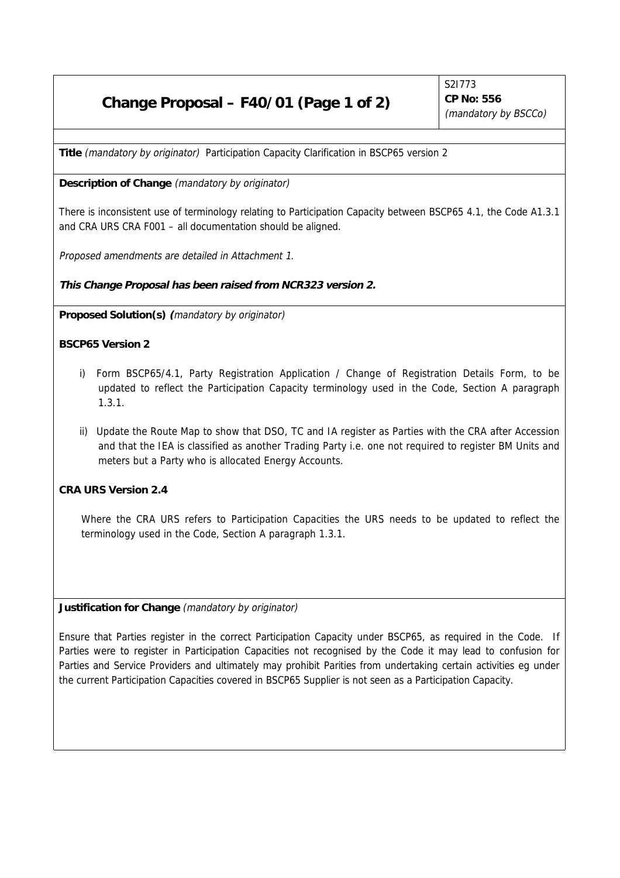## **Change Proposal – F40/01 (Page 1 of 2)**

S2I773 **CP No: 556** (mandatory by BSCCo)

**Title** (mandatory by originator) Participation Capacity Clarification in BSCP65 version 2

**Description of Change** (mandatory by originator)

There is inconsistent use of terminology relating to Participation Capacity between BSCP65 4.1, the Code A1.3.1 and CRA URS CRA F001 – all documentation should be aligned.

Proposed amendments are detailed in Attachment 1.

**This Change Proposal has been raised from NCR323 version 2.**

**Proposed Solution(s) (**mandatory by originator)

**BSCP65 Version 2**

- i) Form BSCP65/4.1, Party Registration Application / Change of Registration Details Form, to be updated to reflect the Participation Capacity terminology used in the Code, Section A paragraph 1.3.1.
- ii) Update the Route Map to show that DSO, TC and IA register as Parties with the CRA after Accession and that the IEA is classified as another Trading Party i.e. one not required to register BM Units and meters but a Party who is allocated Energy Accounts.

**CRA URS Version 2.4**

Where the CRA URS refers to Participation Capacities the URS needs to be updated to reflect the terminology used in the Code, Section A paragraph 1.3.1.

**Justification for Change** (mandatory by originator)

Ensure that Parties register in the correct Participation Capacity under BSCP65, as required in the Code. If Parties were to register in Participation Capacities not recognised by the Code it may lead to confusion for Parties and Service Providers and ultimately may prohibit Parities from undertaking certain activities eg under the current Participation Capacities covered in BSCP65 Supplier is not seen as a Participation Capacity.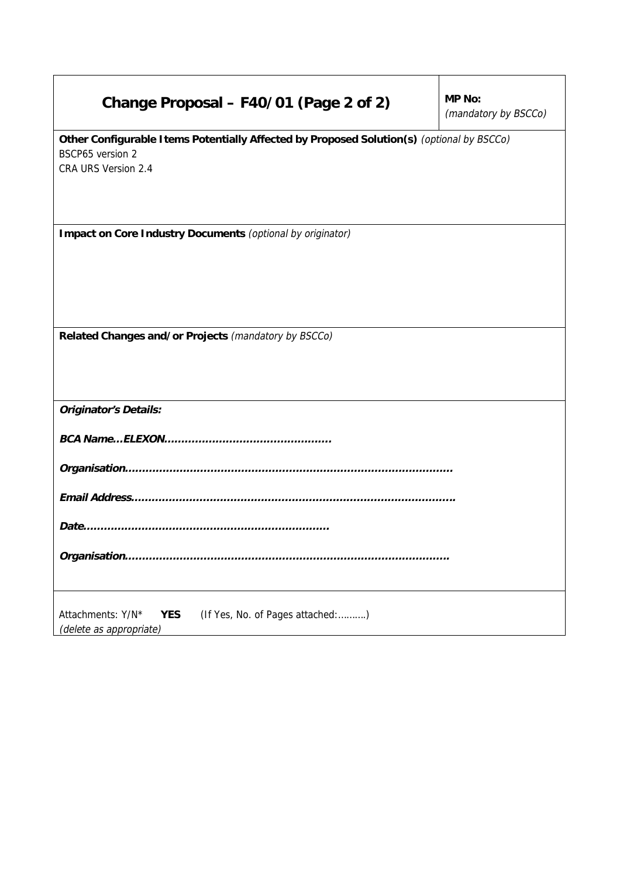| Change Proposal – F40/01 (Page 2 of 2)                                                                                               | <b>MP No:</b><br>(mandatory by BSCCo) |  |
|--------------------------------------------------------------------------------------------------------------------------------------|---------------------------------------|--|
| Other Configurable Items Potentially Affected by Proposed Solution(s) (optional by BSCCo)<br>BSCP65 version 2<br>CRA URS Version 2.4 |                                       |  |
| Impact on Core Industry Documents (optional by originator)                                                                           |                                       |  |
|                                                                                                                                      |                                       |  |
|                                                                                                                                      |                                       |  |
| Related Changes and/or Projects (mandatory by BSCCo)                                                                                 |                                       |  |
| Originator's Details:                                                                                                                |                                       |  |
|                                                                                                                                      |                                       |  |
|                                                                                                                                      |                                       |  |
|                                                                                                                                      |                                       |  |
|                                                                                                                                      |                                       |  |
|                                                                                                                                      |                                       |  |
| Attachments: Y/N*<br><b>YES</b><br>(If Yes, No. of Pages attached:)<br>(delete as appropriate)                                       |                                       |  |

 $\overline{\mathbf{1}}$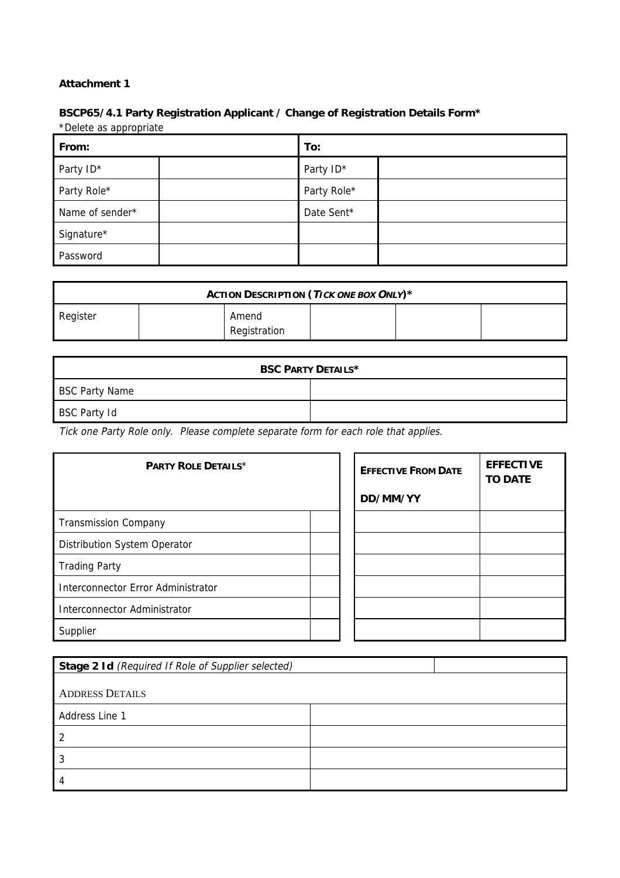## **Attachment 1**

## **BSCP65/4.1 Party Registration Applicant / Change of Registration Details Form\*** \*Delete as appropriate

| From:           | To:         |
|-----------------|-------------|
| Party ID*       | Party ID*   |
| Party Role*     | Party Role* |
| Name of sender* | Date Sent*  |
| Signature*      |             |
| Password        |             |

| ACTION DESCRIPTION (TICK ONE BOX ONLY)* |  |                       |  |  |  |
|-----------------------------------------|--|-----------------------|--|--|--|
| Register                                |  | Amend<br>Registration |  |  |  |

| <b>BSC PARTY DETAILS*</b> |  |  |
|---------------------------|--|--|
| <b>BSC Party Name</b>     |  |  |
| BSC Party Id              |  |  |

Tick one Party Role only. Please complete separate form for each role that applies.

| PARTY ROLE DETAILS*                | <b>EFFECTIVE FROM DATE</b><br>DD/MM/YY | <b>EFFECTIVE</b><br><b>TO DATE</b> |
|------------------------------------|----------------------------------------|------------------------------------|
| <b>Transmission Company</b>        |                                        |                                    |
| Distribution System Operator       |                                        |                                    |
| <b>Trading Party</b>               |                                        |                                    |
| Interconnector Error Administrator |                                        |                                    |
| Interconnector Administrator       |                                        |                                    |
| Supplier                           |                                        |                                    |

| Stage 2 Id (Required If Role of Supplier selected) |  |  |
|----------------------------------------------------|--|--|
| <b>ADDRESS DETAILS</b>                             |  |  |
| Address Line 1                                     |  |  |
| -2                                                 |  |  |
| 3                                                  |  |  |
| 4                                                  |  |  |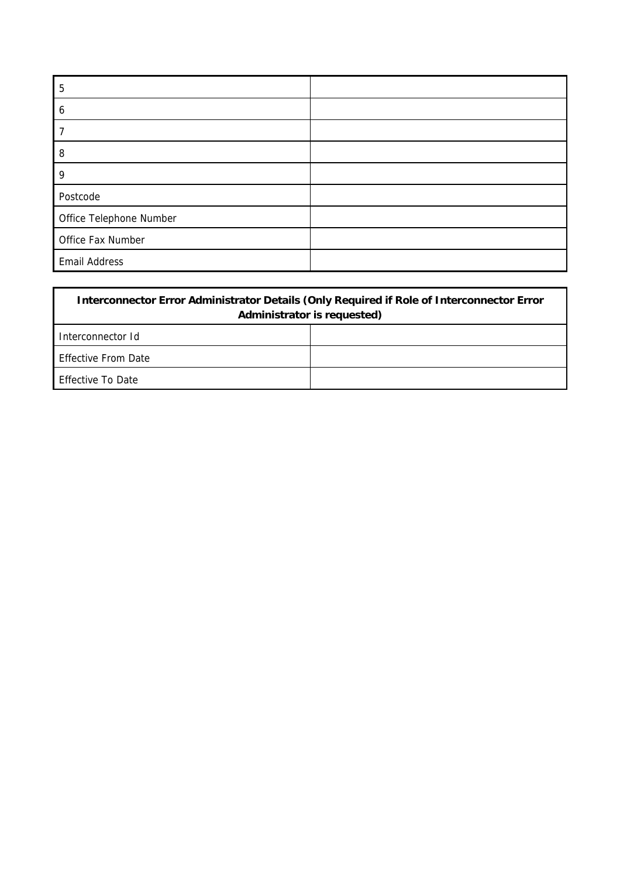| 5                       |  |
|-------------------------|--|
| 6                       |  |
| 7                       |  |
| 8                       |  |
| 9                       |  |
| Postcode                |  |
| Office Telephone Number |  |
| Office Fax Number       |  |
| <b>Email Address</b>    |  |

| Interconnector Error Administrator Details (Only Required if Role of Interconnector Error<br>Administrator is requested) |  |  |
|--------------------------------------------------------------------------------------------------------------------------|--|--|
| Interconnector Id                                                                                                        |  |  |
| Effective From Date                                                                                                      |  |  |
| Effective To Date                                                                                                        |  |  |